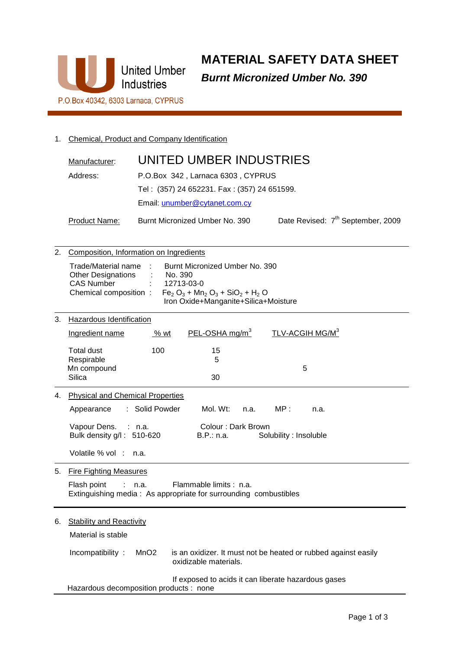

**MATERIAL SAFETY DATA SHEET Burnt Micronized Umber No. 390** 

# 1. Chemical, Product and Company Identification

| Manufacturer: | UNITED UMBER INDUSTRIES                     |                                               |
|---------------|---------------------------------------------|-----------------------------------------------|
| Address:      | P.O.Box 342, Larnaca 6303, CYPRUS           |                                               |
|               | Tel: (357) 24 652231. Fax: (357) 24 651599. |                                               |
|               | Email: unumber@cytanet.com.cy               |                                               |
| Product Name: | Burnt Micronized Umber No. 390              | Date Revised: 7 <sup>th</sup> September, 2009 |

| 2. | Composition, Information on Ingredients                                                                            |                                                                                                                                    |                                                                |  |
|----|--------------------------------------------------------------------------------------------------------------------|------------------------------------------------------------------------------------------------------------------------------------|----------------------------------------------------------------|--|
|    | Trade/Material name<br><b>Other Designations</b><br><b>CAS Number</b><br>Chemical composition:                     | Burnt Micronized Umber No. 390<br>No. 390<br>12713-03-0<br>$Fe2 O3 + Mn2 O3 + SiO2 + H2 O$<br>Iron Oxide+Manganite+Silica+Moisture |                                                                |  |
| 3. | Hazardous Identification                                                                                           |                                                                                                                                    |                                                                |  |
|    | Ingredient name                                                                                                    | PEL-OSHA $mg/m3$<br>% wt                                                                                                           | TLV-ACGIH MG/M <sup>3</sup>                                    |  |
|    | <b>Total dust</b><br>100<br>Respirable<br>Mn compound                                                              | 15<br>5                                                                                                                            | 5                                                              |  |
|    | Silica                                                                                                             | 30                                                                                                                                 |                                                                |  |
| 4. | <b>Physical and Chemical Properties</b>                                                                            |                                                                                                                                    |                                                                |  |
|    | Solid Powder<br>Appearance<br>÷.                                                                                   | Mol. Wt:                                                                                                                           | MP:<br>n.a.<br>n.a.                                            |  |
|    | Vapour Dens.<br>Colour: Dark Brown<br>: n.a.<br>Bulk density g/l: 510-620<br>Solubility : Insoluble<br>B.P.: n.a.  |                                                                                                                                    |                                                                |  |
|    | Volatile % vol:<br>n.a.                                                                                            |                                                                                                                                    |                                                                |  |
| 5. | <b>Fire Fighting Measures</b>                                                                                      |                                                                                                                                    |                                                                |  |
|    | Flash point<br>Flammable limits : n.a.<br>n.a.<br>Extinguishing media: As appropriate for surrounding combustibles |                                                                                                                                    |                                                                |  |
| 6. | <b>Stability and Reactivity</b>                                                                                    |                                                                                                                                    |                                                                |  |
|    | Material is stable                                                                                                 |                                                                                                                                    |                                                                |  |
|    | Incompatibility:<br>MnO2                                                                                           | oxidizable materials.                                                                                                              | is an oxidizer. It must not be heated or rubbed against easily |  |
|    | Hazardous decomposition products : none                                                                            |                                                                                                                                    | If exposed to acids it can liberate hazardous gases            |  |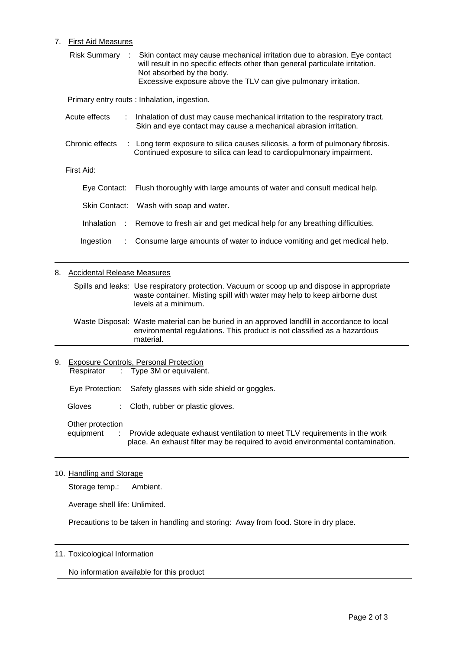## 7. First Aid Measures

| Risk Summary :             | Skin contact may cause mechanical irritation due to abrasion. Eye contact<br>will result in no specific effects other than general particulate irritation.<br>Not absorbed by the body.<br>Excessive exposure above the TLV can give pulmonary irritation. |
|----------------------------|------------------------------------------------------------------------------------------------------------------------------------------------------------------------------------------------------------------------------------------------------------|
|                            | Primary entry routs : Inhalation, ingestion.                                                                                                                                                                                                               |
| Acute effects              | : Inhalation of dust may cause mechanical irritation to the respiratory tract.<br>Skin and eye contact may cause a mechanical abrasion irritation.                                                                                                         |
| Chronic effects            | : Long term exposure to silica causes silicosis, a form of pulmonary fibrosis.<br>Continued exposure to silica can lead to cardiopulmonary impairment.                                                                                                     |
| First Aid:                 |                                                                                                                                                                                                                                                            |
| Eye Contact:               | Flush thoroughly with large amounts of water and consult medical help.                                                                                                                                                                                     |
|                            | Skin Contact: Wash with soap and water.                                                                                                                                                                                                                    |
|                            | Inhalation : Remove to fresh air and get medical help for any breathing difficulties.                                                                                                                                                                      |
| Ingestion<br>$\mathcal{L}$ | Consume large amounts of water to induce vomiting and get medical help.                                                                                                                                                                                    |

### 8. Accidental Release Measures

 Spills and leaks: Use respiratory protection. Vacuum or scoop up and dispose in appropriate waste container. Misting spill with water may help to keep airborne dust levels at a minimum.

 Waste Disposal: Waste material can be buried in an approved landfill in accordance to local environmental regulations. This product is not classified as a hazardous material.

9. Exposure Controls, Personal Protection Respirator : Type 3M or equivalent.

Eye Protection: Safety glasses with side shield or goggles.

Gloves : Cloth, rubber or plastic gloves.

Other protection

equipment : Provide adequate exhaust ventilation to meet TLV requirements in the work place. An exhaust filter may be required to avoid environmental contamination.

10. Handling and Storage

Storage temp.: Ambient.

Average shell life: Unlimited.

Precautions to be taken in handling and storing: Away from food. Store in dry place.

### 11. Toxicological Information

No information available for this product